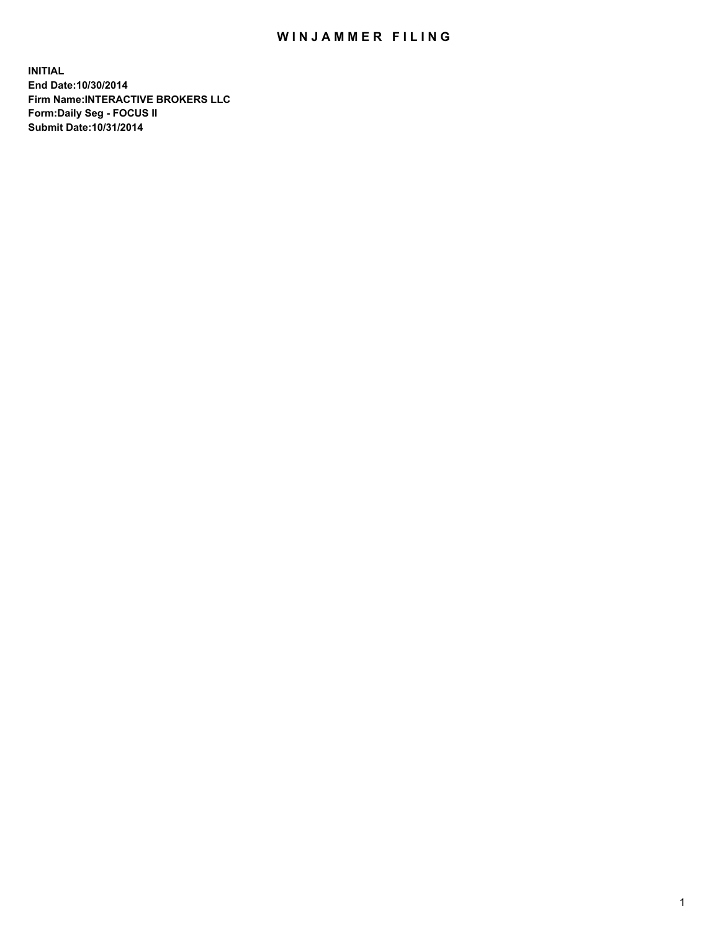## WIN JAMMER FILING

**INITIAL End Date:10/30/2014 Firm Name:INTERACTIVE BROKERS LLC Form:Daily Seg - FOCUS II Submit Date:10/31/2014**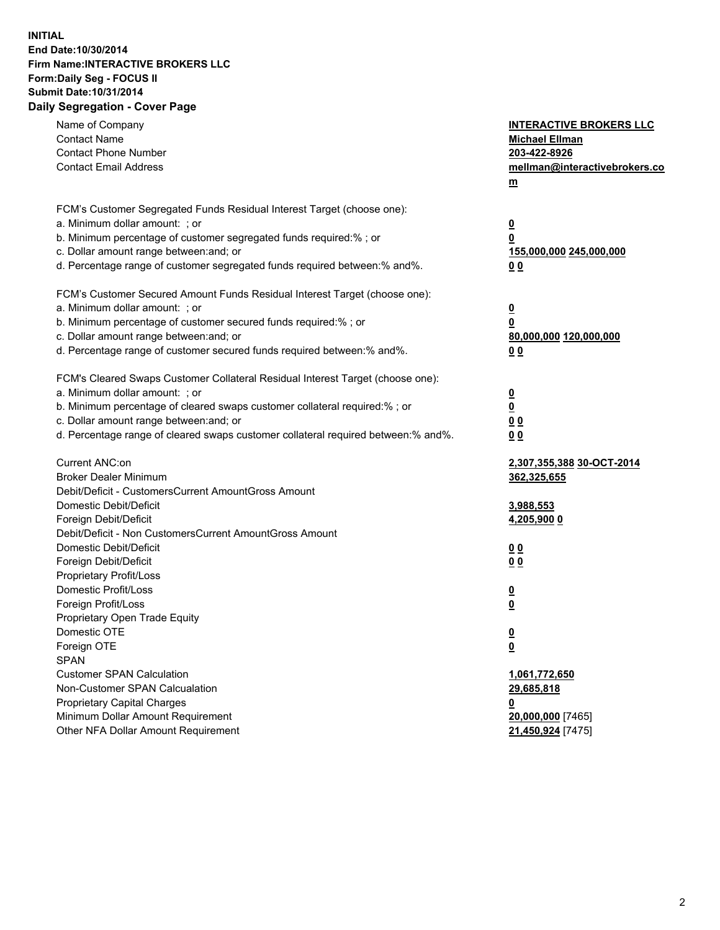## **INITIAL End Date:10/30/2014 Firm Name:INTERACTIVE BROKERS LLC Form:Daily Seg - FOCUS II Submit Date:10/31/2014 Daily Segregation - Cover Page**

| Name of Company<br><b>Contact Name</b><br><b>Contact Phone Number</b><br><b>Contact Email Address</b>                                                                                                                                                                                                                          | <b>INTERACTIVE BROKERS LLC</b><br><b>Michael Ellman</b><br>203-422-8926<br>mellman@interactivebrokers.co<br>m |
|--------------------------------------------------------------------------------------------------------------------------------------------------------------------------------------------------------------------------------------------------------------------------------------------------------------------------------|---------------------------------------------------------------------------------------------------------------|
| FCM's Customer Segregated Funds Residual Interest Target (choose one):<br>a. Minimum dollar amount: ; or<br>b. Minimum percentage of customer segregated funds required:% ; or<br>c. Dollar amount range between: and; or<br>d. Percentage range of customer segregated funds required between:% and%.                         | <u>0</u><br>0<br>155,000,000 245,000,000<br>00                                                                |
| FCM's Customer Secured Amount Funds Residual Interest Target (choose one):<br>a. Minimum dollar amount: ; or<br>b. Minimum percentage of customer secured funds required:% ; or<br>c. Dollar amount range between: and; or<br>d. Percentage range of customer secured funds required between:% and%.                           | $\overline{\mathbf{0}}$<br>0<br>80,000,000 120,000,000<br>0 <sub>0</sub>                                      |
| FCM's Cleared Swaps Customer Collateral Residual Interest Target (choose one):<br>a. Minimum dollar amount: ; or<br>b. Minimum percentage of cleared swaps customer collateral required:% ; or<br>c. Dollar amount range between: and; or<br>d. Percentage range of cleared swaps customer collateral required between:% and%. | $\overline{\mathbf{0}}$<br><u>0</u><br>0 <sub>0</sub><br>0 <sub>0</sub>                                       |
| Current ANC:on<br><b>Broker Dealer Minimum</b><br>Debit/Deficit - CustomersCurrent AmountGross Amount<br>Domestic Debit/Deficit<br>Foreign Debit/Deficit                                                                                                                                                                       | 2,307,355,388 30-OCT-2014<br>362,325,655<br>3,988,553<br>4,205,900 0                                          |
| Debit/Deficit - Non CustomersCurrent AmountGross Amount<br>Domestic Debit/Deficit<br>Foreign Debit/Deficit<br>Proprietary Profit/Loss<br>Domestic Profit/Loss<br>Foreign Profit/Loss                                                                                                                                           | 0 <sub>0</sub><br>0 <sub>0</sub><br>$\overline{\mathbf{0}}$<br>$\overline{\mathbf{0}}$                        |
| Proprietary Open Trade Equity<br>Domestic OTE<br>Foreign OTE<br><b>SPAN</b><br><b>Customer SPAN Calculation</b>                                                                                                                                                                                                                | $\overline{\mathbf{0}}$<br><u>0</u><br>1,061,772,650                                                          |
| Non-Customer SPAN Calcualation<br><b>Proprietary Capital Charges</b><br>Minimum Dollar Amount Requirement<br>Other NFA Dollar Amount Requirement                                                                                                                                                                               | 29,685,818<br><u>0</u><br>20,000,000 [7465]<br>21,450,924 [7475]                                              |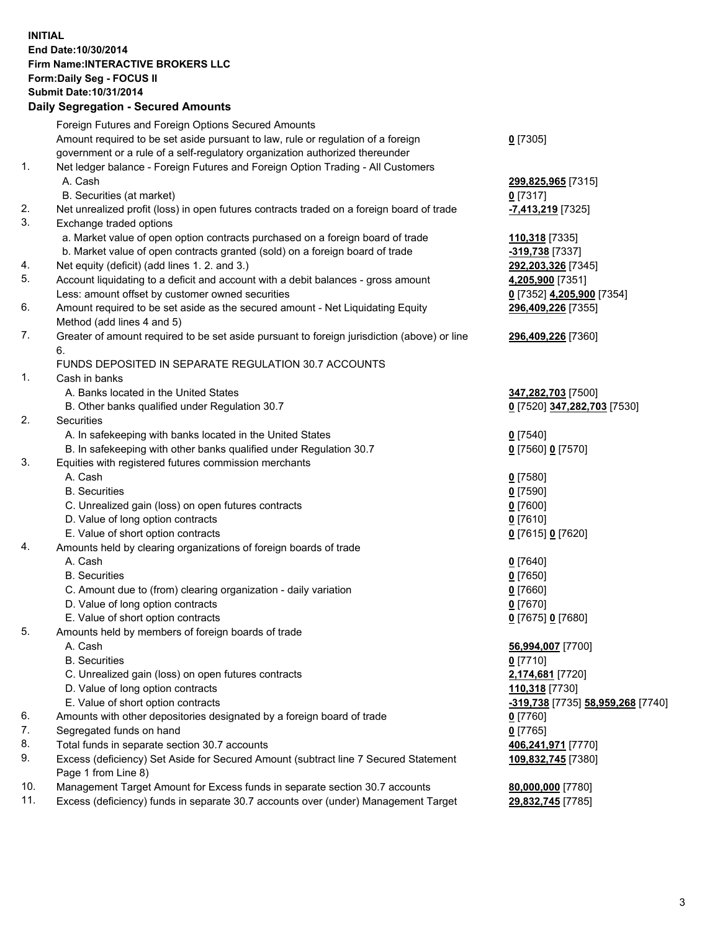## **INITIAL End Date:10/30/2014 Firm Name:INTERACTIVE BROKERS LLC Form:Daily Seg - FOCUS II Submit Date:10/31/2014 Daily Segregation - Secured Amounts**

|                | Dany Oogregation - Oecarea Amounts                                                                         |                                   |
|----------------|------------------------------------------------------------------------------------------------------------|-----------------------------------|
|                | Foreign Futures and Foreign Options Secured Amounts                                                        |                                   |
|                | Amount required to be set aside pursuant to law, rule or regulation of a foreign                           | $0$ [7305]                        |
|                | government or a rule of a self-regulatory organization authorized thereunder                               |                                   |
| 1.             | Net ledger balance - Foreign Futures and Foreign Option Trading - All Customers                            |                                   |
|                | A. Cash                                                                                                    | 299,825,965 [7315]                |
|                | B. Securities (at market)                                                                                  | $0$ [7317]                        |
| 2.             | Net unrealized profit (loss) in open futures contracts traded on a foreign board of trade                  | -7,413,219 [7325]                 |
| 3.             | Exchange traded options                                                                                    |                                   |
|                | a. Market value of open option contracts purchased on a foreign board of trade                             | 110,318 [7335]                    |
|                | b. Market value of open contracts granted (sold) on a foreign board of trade                               | -319,738 [7337]                   |
| 4.             | Net equity (deficit) (add lines 1.2. and 3.)                                                               | 292,203,326 [7345]                |
| 5.             | Account liquidating to a deficit and account with a debit balances - gross amount                          | 4,205,900 [7351]                  |
|                | Less: amount offset by customer owned securities                                                           | 0 [7352] 4,205,900 [7354]         |
| 6.             | Amount required to be set aside as the secured amount - Net Liquidating Equity                             | 296,409,226 [7355]                |
|                | Method (add lines 4 and 5)                                                                                 |                                   |
| 7.             | Greater of amount required to be set aside pursuant to foreign jurisdiction (above) or line                | 296,409,226 [7360]                |
|                | 6.                                                                                                         |                                   |
|                | FUNDS DEPOSITED IN SEPARATE REGULATION 30.7 ACCOUNTS                                                       |                                   |
| $\mathbf{1}$ . | Cash in banks                                                                                              |                                   |
|                | A. Banks located in the United States                                                                      | 347,282,703 [7500]                |
|                | B. Other banks qualified under Regulation 30.7                                                             | 0 [7520] 347,282,703 [7530]       |
| 2.             | Securities                                                                                                 |                                   |
|                | A. In safekeeping with banks located in the United States                                                  | $0$ [7540]                        |
|                | B. In safekeeping with other banks qualified under Regulation 30.7                                         | 0 [7560] 0 [7570]                 |
| 3.             | Equities with registered futures commission merchants                                                      |                                   |
|                | A. Cash                                                                                                    | $0$ [7580]                        |
|                | <b>B.</b> Securities                                                                                       | $0$ [7590]                        |
|                | C. Unrealized gain (loss) on open futures contracts                                                        | $0$ [7600]                        |
|                | D. Value of long option contracts                                                                          | $0$ [7610]                        |
|                | E. Value of short option contracts                                                                         | 0 [7615] 0 [7620]                 |
| 4.             | Amounts held by clearing organizations of foreign boards of trade                                          |                                   |
|                | A. Cash                                                                                                    | $0$ [7640]                        |
|                | <b>B.</b> Securities                                                                                       | $0$ [7650]                        |
|                | C. Amount due to (from) clearing organization - daily variation                                            | $0$ [7660]                        |
|                | D. Value of long option contracts                                                                          | $0$ [7670]                        |
|                | E. Value of short option contracts                                                                         | 0 [7675] 0 [7680]                 |
| 5.             | Amounts held by members of foreign boards of trade                                                         |                                   |
|                | A. Cash                                                                                                    | 56,994,007 [7700]                 |
|                | <b>B.</b> Securities                                                                                       | $0$ [7710]                        |
|                | C. Unrealized gain (loss) on open futures contracts                                                        | 2,174,681 [7720]                  |
|                | D. Value of long option contracts                                                                          | 110,318 [7730]                    |
|                | E. Value of short option contracts                                                                         | -319,738 [7735] 58,959,268 [7740] |
| 6.             | Amounts with other depositories designated by a foreign board of trade                                     | 0 [7760]                          |
| 7.             | Segregated funds on hand                                                                                   | $0$ [7765]                        |
| 8.             | Total funds in separate section 30.7 accounts                                                              | 406,241,971 [7770]                |
| 9.             | Excess (deficiency) Set Aside for Secured Amount (subtract line 7 Secured Statement<br>Page 1 from Line 8) | 109,832,745 [7380]                |
| 10.            | Management Target Amount for Excess funds in separate section 30.7 accounts                                | 80,000,000 [7780]                 |
| 11.            | Excess (deficiency) funds in separate 30.7 accounts over (under) Management Target                         | 29,832,745 [7785]                 |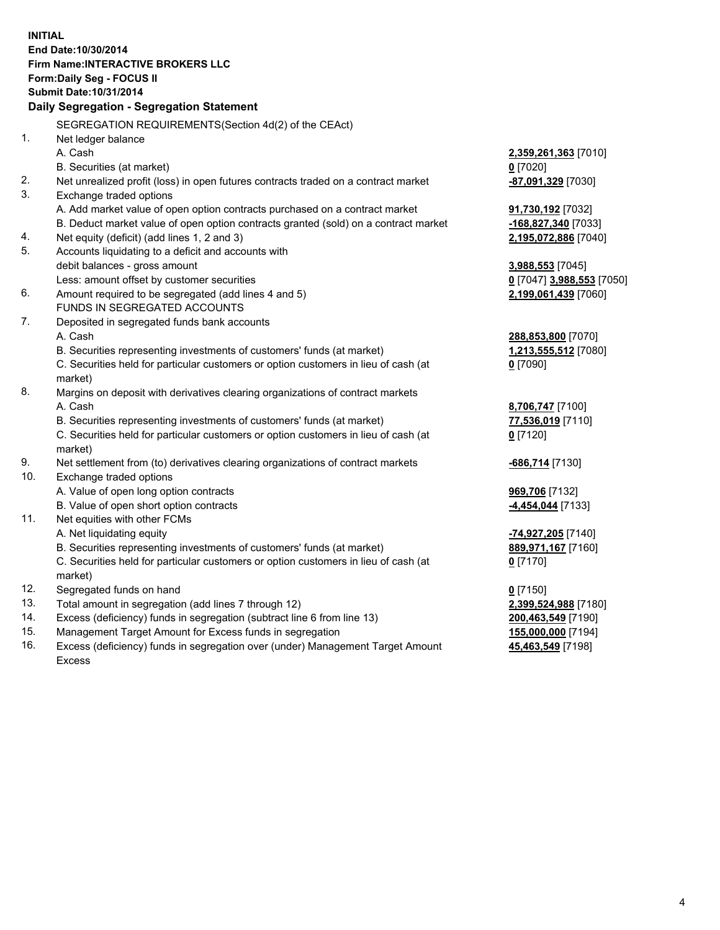**INITIAL End Date:10/30/2014 Firm Name:INTERACTIVE BROKERS LLC Form:Daily Seg - FOCUS II Submit Date:10/31/2014 Daily Segregation - Segregation Statement** SEGREGATION REQUIREMENTS(Section 4d(2) of the CEAct) 1. Net ledger balance A. Cash **2,359,261,363** [7010] B. Securities (at market) **0** [7020] 2. Net unrealized profit (loss) in open futures contracts traded on a contract market **-87,091,329** [7030] 3. Exchange traded options A. Add market value of open option contracts purchased on a contract market **91,730,192** [7032] B. Deduct market value of open option contracts granted (sold) on a contract market **-168,827,340** [7033] 4. Net equity (deficit) (add lines 1, 2 and 3) **2,195,072,886** [7040] 5. Accounts liquidating to a deficit and accounts with debit balances - gross amount **3,988,553** [7045] Less: amount offset by customer securities **0** [7047] **3,988,553** [7050] 6. Amount required to be segregated (add lines 4 and 5) **2,199,061,439** [7060] FUNDS IN SEGREGATED ACCOUNTS 7. Deposited in segregated funds bank accounts A. Cash **288,853,800** [7070] B. Securities representing investments of customers' funds (at market) **1,213,555,512** [7080] C. Securities held for particular customers or option customers in lieu of cash (at market) **0** [7090] 8. Margins on deposit with derivatives clearing organizations of contract markets A. Cash **8,706,747** [7100] B. Securities representing investments of customers' funds (at market) **77,536,019** [7110] C. Securities held for particular customers or option customers in lieu of cash (at market) **0** [7120] 9. Net settlement from (to) derivatives clearing organizations of contract markets **-686,714** [7130] 10. Exchange traded options A. Value of open long option contracts **969,706** [7132] B. Value of open short option contracts **-4,454,044** [7133] 11. Net equities with other FCMs A. Net liquidating equity **-74,927,205** [7140] B. Securities representing investments of customers' funds (at market) **889,971,167** [7160] C. Securities held for particular customers or option customers in lieu of cash (at market) **0** [7170] 12. Segregated funds on hand **0** [7150] 13. Total amount in segregation (add lines 7 through 12) **2,399,524,988** [7180] 14. Excess (deficiency) funds in segregation (subtract line 6 from line 13) **200,463,549** [7190] 15. Management Target Amount for Excess funds in segregation **155,000,000** [7194]

16. Excess (deficiency) funds in segregation over (under) Management Target Amount Excess

**45,463,549** [7198]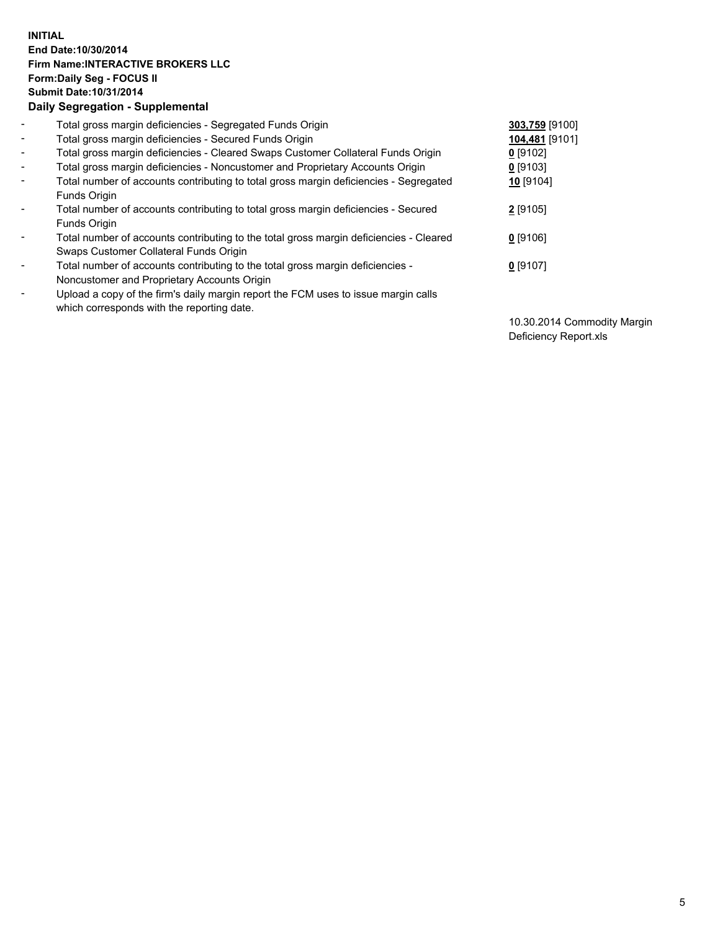## **INITIAL End Date:10/30/2014 Firm Name:INTERACTIVE BROKERS LLC Form:Daily Seg - FOCUS II Submit Date:10/31/2014 Daily Segregation - Supplemental**

| $\blacksquare$ | Total gross margin deficiencies - Segregated Funds Origin                              | 303,759 [9100] |
|----------------|----------------------------------------------------------------------------------------|----------------|
| $\blacksquare$ | Total gross margin deficiencies - Secured Funds Origin                                 | 104,481 [9101] |
| $\blacksquare$ | Total gross margin deficiencies - Cleared Swaps Customer Collateral Funds Origin       | $0$ [9102]     |
| $\blacksquare$ | Total gross margin deficiencies - Noncustomer and Proprietary Accounts Origin          | $0$ [9103]     |
| $\blacksquare$ | Total number of accounts contributing to total gross margin deficiencies - Segregated  | 10 [9104]      |
|                | Funds Origin                                                                           |                |
| $\sim$         | Total number of accounts contributing to total gross margin deficiencies - Secured     | $2$ [9105]     |
|                | <b>Funds Origin</b>                                                                    |                |
| $\blacksquare$ | Total number of accounts contributing to the total gross margin deficiencies - Cleared | $0$ [9106]     |
|                | Swaps Customer Collateral Funds Origin                                                 |                |
| $\blacksquare$ | Total number of accounts contributing to the total gross margin deficiencies -         | $0$ [9107]     |
|                | Noncustomer and Proprietary Accounts Origin                                            |                |
| $\blacksquare$ | Upload a copy of the firm's daily margin report the FCM uses to issue margin calls     |                |
|                | which corresponds with the reporting date.                                             |                |

10.30.2014 Commodity Margin Deficiency Report.xls